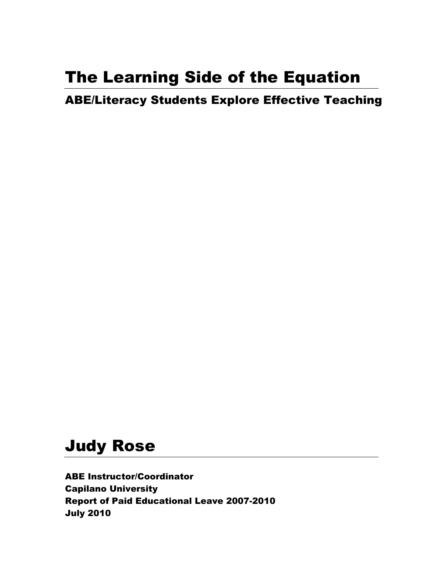# The Learning Side of the Equation

ABE/Literacy Students Explore Effective Teaching

# Judy Rose

ABE Instructor/Coordinator Capilano University Report of Paid Educational Leave 2007-2010 July 2010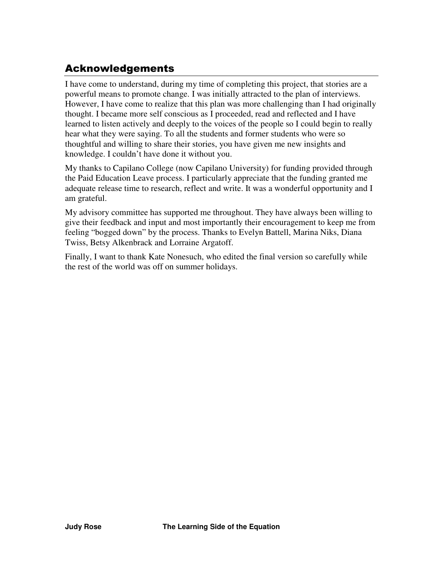# Acknowledgements

I have come to understand, during my time of completing this project, that stories are a powerful means to promote change. I was initially attracted to the plan of interviews. However, I have come to realize that this plan was more challenging than I had originally thought. I became more self conscious as I proceeded, read and reflected and I have learned to listen actively and deeply to the voices of the people so I could begin to really hear what they were saying. To all the students and former students who were so thoughtful and willing to share their stories, you have given me new insights and knowledge. I couldn't have done it without you.

My thanks to Capilano College (now Capilano University) for funding provided through the Paid Education Leave process. I particularly appreciate that the funding granted me adequate release time to research, reflect and write. It was a wonderful opportunity and I am grateful.

My advisory committee has supported me throughout. They have always been willing to give their feedback and input and most importantly their encouragement to keep me from feeling "bogged down" by the process. Thanks to Evelyn Battell, Marina Niks, Diana Twiss, Betsy Alkenbrack and Lorraine Argatoff.

Finally, I want to thank Kate Nonesuch, who edited the final version so carefully while the rest of the world was off on summer holidays.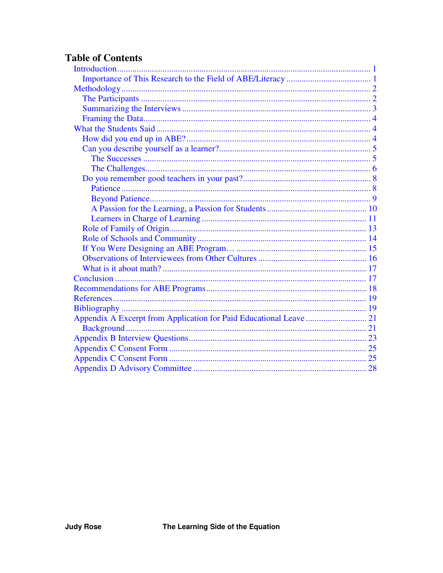# **Table of Contents**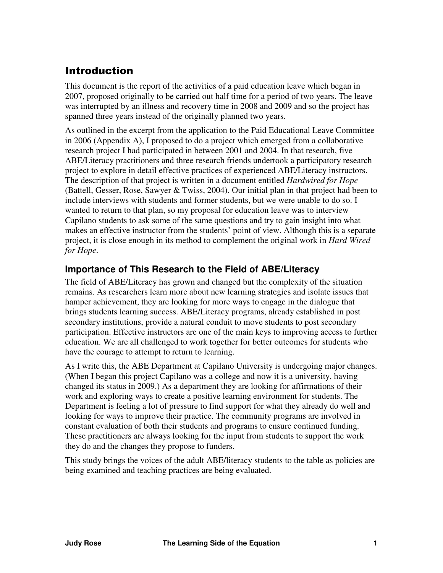# <span id="page-3-0"></span>Introduction

This document is the report of the activities of a paid education leave which began in 2007, proposed originally to be carried out half time for a period of two years. The leave was interrupted by an illness and recovery time in 2008 and 2009 and so the project has spanned three years instead of the originally planned two years.

As outlined in the excerpt from the application to the Paid Educational Leave Committee in 2006 (Appendix A), I proposed to do a project which emerged from a collaborative research project I had participated in between 2001 and 2004. In that research, five ABE/Literacy practitioners and three research friends undertook a participatory research project to explore in detail effective practices of experienced ABE/Literacy instructors. The description of that project is written in a document entitled *Hardwired for Hope* (Battell, Gesser, Rose, Sawyer & Twiss, 2004). Our initial plan in that project had been to include interviews with students and former students, but we were unable to do so. I wanted to return to that plan, so my proposal for education leave was to interview Capilano students to ask some of the same questions and try to gain insight into what makes an effective instructor from the students' point of view. Although this is a separate project, it is close enough in its method to complement the original work in *Hard Wired for Hope*.

### **Importance of This Research to the Field of ABE/Literacy**

The field of ABE/Literacy has grown and changed but the complexity of the situation remains. As researchers learn more about new learning strategies and isolate issues that hamper achievement, they are looking for more ways to engage in the dialogue that brings students learning success. ABE/Literacy programs, already established in post secondary institutions, provide a natural conduit to move students to post secondary participation. Effective instructors are one of the main keys to improving access to further education. We are all challenged to work together for better outcomes for students who have the courage to attempt to return to learning.

As I write this, the ABE Department at Capilano University is undergoing major changes. (When I began this project Capilano was a college and now it is a university, having changed its status in 2009.) As a department they are looking for affirmations of their work and exploring ways to create a positive learning environment for students. The Department is feeling a lot of pressure to find support for what they already do well and looking for ways to improve their practice. The community programs are involved in constant evaluation of both their students and programs to ensure continued funding. These practitioners are always looking for the input from students to support the work they do and the changes they propose to funders.

This study brings the voices of the adult ABE/literacy students to the table as policies are being examined and teaching practices are being evaluated.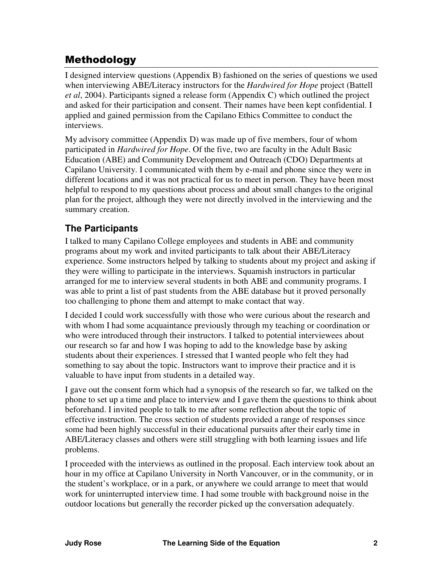# <span id="page-4-0"></span>Methodology

I designed interview questions (Appendix B) fashioned on the series of questions we used when interviewing ABE/Literacy instructors for the *Hardwired for Hope* project (Battell *et al*, 2004). Participants signed a release form (Appendix C) which outlined the project and asked for their participation and consent. Their names have been kept confidential. I applied and gained permission from the Capilano Ethics Committee to conduct the interviews.

My advisory committee (Appendix D) was made up of five members, four of whom participated in *Hardwired for Hope*. Of the five, two are faculty in the Adult Basic Education (ABE) and Community Development and Outreach (CDO) Departments at Capilano University. I communicated with them by e-mail and phone since they were in different locations and it was not practical for us to meet in person. They have been most helpful to respond to my questions about process and about small changes to the original plan for the project, although they were not directly involved in the interviewing and the summary creation.

### **The Participants**

I talked to many Capilano College employees and students in ABE and community programs about my work and invited participants to talk about their ABE/Literacy experience. Some instructors helped by talking to students about my project and asking if they were willing to participate in the interviews. Squamish instructors in particular arranged for me to interview several students in both ABE and community programs. I was able to print a list of past students from the ABE database but it proved personally too challenging to phone them and attempt to make contact that way.

I decided I could work successfully with those who were curious about the research and with whom I had some acquaintance previously through my teaching or coordination or who were introduced through their instructors. I talked to potential interviewees about our research so far and how I was hoping to add to the knowledge base by asking students about their experiences. I stressed that I wanted people who felt they had something to say about the topic. Instructors want to improve their practice and it is valuable to have input from students in a detailed way.

I gave out the consent form which had a synopsis of the research so far, we talked on the phone to set up a time and place to interview and I gave them the questions to think about beforehand. I invited people to talk to me after some reflection about the topic of effective instruction. The cross section of students provided a range of responses since some had been highly successful in their educational pursuits after their early time in ABE/Literacy classes and others were still struggling with both learning issues and life problems.

I proceeded with the interviews as outlined in the proposal. Each interview took about an hour in my office at Capilano University in North Vancouver, or in the community, or in the student's workplace, or in a park, or anywhere we could arrange to meet that would work for uninterrupted interview time. I had some trouble with background noise in the outdoor locations but generally the recorder picked up the conversation adequately.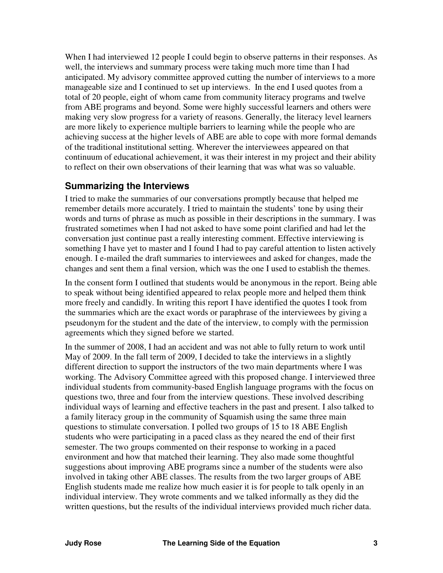<span id="page-5-0"></span>When I had interviewed 12 people I could begin to observe patterns in their responses. As well, the interviews and summary process were taking much more time than I had anticipated. My advisory committee approved cutting the number of interviews to a more manageable size and I continued to set up interviews. In the end I used quotes from a total of 20 people, eight of whom came from community literacy programs and twelve from ABE programs and beyond. Some were highly successful learners and others were making very slow progress for a variety of reasons. Generally, the literacy level learners are more likely to experience multiple barriers to learning while the people who are achieving success at the higher levels of ABE are able to cope with more formal demands of the traditional institutional setting. Wherever the interviewees appeared on that continuum of educational achievement, it was their interest in my project and their ability to reflect on their own observations of their learning that was what was so valuable.

### **Summarizing the Interviews**

I tried to make the summaries of our conversations promptly because that helped me remember details more accurately. I tried to maintain the students' tone by using their words and turns of phrase as much as possible in their descriptions in the summary. I was frustrated sometimes when I had not asked to have some point clarified and had let the conversation just continue past a really interesting comment. Effective interviewing is something I have yet to master and I found I had to pay careful attention to listen actively enough. I e-mailed the draft summaries to interviewees and asked for changes, made the changes and sent them a final version, which was the one I used to establish the themes.

In the consent form I outlined that students would be anonymous in the report. Being able to speak without being identified appeared to relax people more and helped them think more freely and candidly. In writing this report I have identified the quotes I took from the summaries which are the exact words or paraphrase of the interviewees by giving a pseudonym for the student and the date of the interview, to comply with the permission agreements which they signed before we started.

In the summer of 2008, I had an accident and was not able to fully return to work until May of 2009. In the fall term of 2009, I decided to take the interviews in a slightly different direction to support the instructors of the two main departments where I was working. The Advisory Committee agreed with this proposed change. I interviewed three individual students from community-based English language programs with the focus on questions two, three and four from the interview questions. These involved describing individual ways of learning and effective teachers in the past and present. I also talked to a family literacy group in the community of Squamish using the same three main questions to stimulate conversation. I polled two groups of 15 to 18 ABE English students who were participating in a paced class as they neared the end of their first semester. The two groups commented on their response to working in a paced environment and how that matched their learning. They also made some thoughtful suggestions about improving ABE programs since a number of the students were also involved in taking other ABE classes. The results from the two larger groups of ABE English students made me realize how much easier it is for people to talk openly in an individual interview. They wrote comments and we talked informally as they did the written questions, but the results of the individual interviews provided much richer data.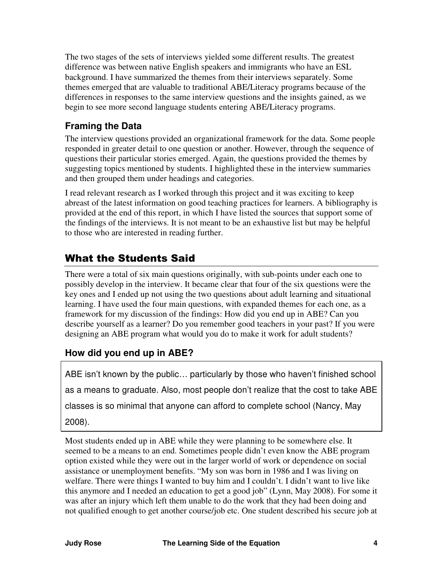<span id="page-6-0"></span>The two stages of the sets of interviews yielded some different results. The greatest difference was between native English speakers and immigrants who have an ESL background. I have summarized the themes from their interviews separately. Some themes emerged that are valuable to traditional ABE/Literacy programs because of the differences in responses to the same interview questions and the insights gained, as we begin to see more second language students entering ABE/Literacy programs.

### **Framing the Data**

The interview questions provided an organizational framework for the data. Some people responded in greater detail to one question or another. However, through the sequence of questions their particular stories emerged. Again, the questions provided the themes by suggesting topics mentioned by students. I highlighted these in the interview summaries and then grouped them under headings and categories.

I read relevant research as I worked through this project and it was exciting to keep abreast of the latest information on good teaching practices for learners. A bibliography is provided at the end of this report, in which I have listed the sources that support some of the findings of the interviews. It is not meant to be an exhaustive list but may be helpful to those who are interested in reading further.

# What the Students Said

There were a total of six main questions originally, with sub-points under each one to possibly develop in the interview. It became clear that four of the six questions were the key ones and I ended up not using the two questions about adult learning and situational learning. I have used the four main questions, with expanded themes for each one, as a framework for my discussion of the findings: How did you end up in ABE? Can you describe yourself as a learner? Do you remember good teachers in your past? If you were designing an ABE program what would you do to make it work for adult students?

### **How did you end up in ABE?**

ABE isn't known by the public… particularly by those who haven't finished school as a means to graduate. Also, most people don't realize that the cost to take ABE classes is so minimal that anyone can afford to complete school (Nancy, May 2008).

Most students ended up in ABE while they were planning to be somewhere else. It seemed to be a means to an end. Sometimes people didn't even know the ABE program option existed while they were out in the larger world of work or dependence on social assistance or unemployment benefits. "My son was born in 1986 and I was living on welfare. There were things I wanted to buy him and I couldn't. I didn't want to live like this anymore and I needed an education to get a good job" (Lynn, May 2008). For some it was after an injury which left them unable to do the work that they had been doing and not qualified enough to get another course/job etc. One student described his secure job at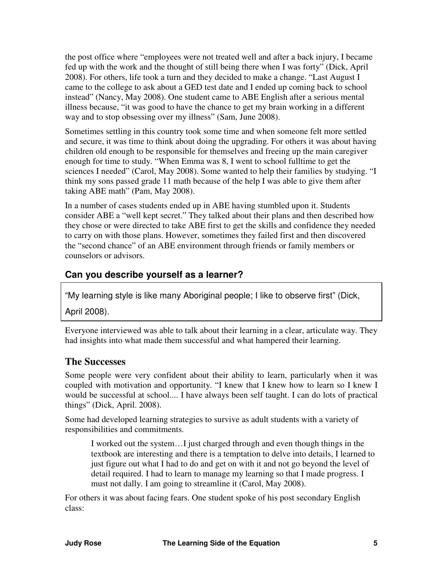<span id="page-7-0"></span>the post office where "employees were not treated well and after a back injury, I became fed up with the work and the thought of still being there when I was forty" (Dick, April 2008). For others, life took a turn and they decided to make a change. "Last August I came to the college to ask about a GED test date and I ended up coming back to school instead" (Nancy, May 2008). One student came to ABE English after a serious mental illness because, "it was good to have the chance to get my brain working in a different way and to stop obsessing over my illness" (Sam, June 2008).

Sometimes settling in this country took some time and when someone felt more settled and secure, it was time to think about doing the upgrading. For others it was about having children old enough to be responsible for themselves and freeing up the main caregiver enough for time to study. "When Emma was 8, I went to school fulltime to get the sciences I needed" (Carol, May 2008). Some wanted to help their families by studying. "I think my sons passed grade 11 math because of the help I was able to give them after taking ABE math" (Pam, May 2008).

In a number of cases students ended up in ABE having stumbled upon it. Students consider ABE a "well kept secret." They talked about their plans and then described how they chose or were directed to take ABE first to get the skills and confidence they needed to carry on with those plans. However, sometimes they failed first and then discovered the "second chance" of an ABE environment through friends or family members or counselors or advisors.

### **Can you describe yourself as a learner?**

"My learning style is like many Aboriginal people; I like to observe first" (Dick,

April 2008).

Everyone interviewed was able to talk about their learning in a clear, articulate way. They had insights into what made them successful and what hampered their learning.

#### **The Successes**

Some people were very confident about their ability to learn, particularly when it was coupled with motivation and opportunity. "I knew that I knew how to learn so I knew I would be successful at school.... I have always been self taught. I can do lots of practical things" (Dick, April. 2008).

Some had developed learning strategies to survive as adult students with a variety of responsibilities and commitments.

I worked out the system…I just charged through and even though things in the textbook are interesting and there is a temptation to delve into details, I learned to just figure out what I had to do and get on with it and not go beyond the level of detail required. I had to learn to manage my learning so that I made progress. I must not dally. I am going to streamline it (Carol, May 2008).

For others it was about facing fears. One student spoke of his post secondary English class: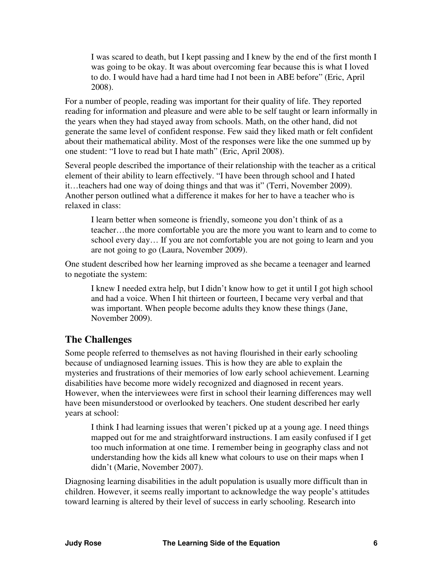<span id="page-8-0"></span>I was scared to death, but I kept passing and I knew by the end of the first month I was going to be okay. It was about overcoming fear because this is what I loved to do. I would have had a hard time had I not been in ABE before" (Eric, April 2008).

For a number of people, reading was important for their quality of life. They reported reading for information and pleasure and were able to be self taught or learn informally in the years when they had stayed away from schools. Math, on the other hand, did not generate the same level of confident response. Few said they liked math or felt confident about their mathematical ability. Most of the responses were like the one summed up by one student: "I love to read but I hate math" (Eric, April 2008).

Several people described the importance of their relationship with the teacher as a critical element of their ability to learn effectively. "I have been through school and I hated it…teachers had one way of doing things and that was it" (Terri, November 2009). Another person outlined what a difference it makes for her to have a teacher who is relaxed in class:

I learn better when someone is friendly, someone you don't think of as a teacher…the more comfortable you are the more you want to learn and to come to school every day… If you are not comfortable you are not going to learn and you are not going to go (Laura, November 2009).

One student described how her learning improved as she became a teenager and learned to negotiate the system:

I knew I needed extra help, but I didn't know how to get it until I got high school and had a voice. When I hit thirteen or fourteen, I became very verbal and that was important. When people become adults they know these things (Jane, November 2009).

### **The Challenges**

Some people referred to themselves as not having flourished in their early schooling because of undiagnosed learning issues. This is how they are able to explain the mysteries and frustrations of their memories of low early school achievement. Learning disabilities have become more widely recognized and diagnosed in recent years. However, when the interviewees were first in school their learning differences may well have been misunderstood or overlooked by teachers. One student described her early years at school:

I think I had learning issues that weren't picked up at a young age. I need things mapped out for me and straightforward instructions. I am easily confused if I get too much information at one time. I remember being in geography class and not understanding how the kids all knew what colours to use on their maps when I didn't (Marie, November 2007).

Diagnosing learning disabilities in the adult population is usually more difficult than in children. However, it seems really important to acknowledge the way people's attitudes toward learning is altered by their level of success in early schooling. Research into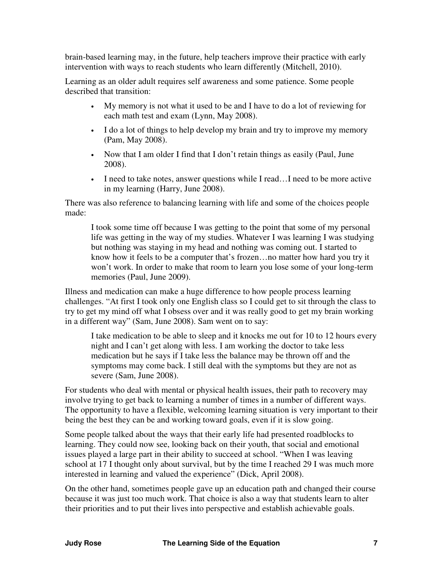brain-based learning may, in the future, help teachers improve their practice with early intervention with ways to reach students who learn differently (Mitchell, 2010).

Learning as an older adult requires self awareness and some patience. Some people described that transition:

- My memory is not what it used to be and I have to do a lot of reviewing for each math test and exam (Lynn, May 2008).
- I do a lot of things to help develop my brain and try to improve my memory (Pam, May 2008).
- Now that I am older I find that I don't retain things as easily (Paul, June 2008).
- I need to take notes, answer questions while I read...I need to be more active in my learning (Harry, June 2008).

There was also reference to balancing learning with life and some of the choices people made:

I took some time off because I was getting to the point that some of my personal life was getting in the way of my studies. Whatever I was learning I was studying but nothing was staying in my head and nothing was coming out. I started to know how it feels to be a computer that's frozen…no matter how hard you try it won't work. In order to make that room to learn you lose some of your long-term memories (Paul, June 2009).

Illness and medication can make a huge difference to how people process learning challenges. "At first I took only one English class so I could get to sit through the class to try to get my mind off what I obsess over and it was really good to get my brain working in a different way" (Sam, June 2008). Sam went on to say:

I take medication to be able to sleep and it knocks me out for 10 to 12 hours every night and I can't get along with less. I am working the doctor to take less medication but he says if I take less the balance may be thrown off and the symptoms may come back. I still deal with the symptoms but they are not as severe (Sam, June 2008).

For students who deal with mental or physical health issues, their path to recovery may involve trying to get back to learning a number of times in a number of different ways. The opportunity to have a flexible, welcoming learning situation is very important to their being the best they can be and working toward goals, even if it is slow going.

Some people talked about the ways that their early life had presented roadblocks to learning. They could now see, looking back on their youth, that social and emotional issues played a large part in their ability to succeed at school. "When I was leaving school at 17 I thought only about survival, but by the time I reached 29 I was much more interested in learning and valued the experience" (Dick, April 2008).

On the other hand, sometimes people gave up an education path and changed their course because it was just too much work. That choice is also a way that students learn to alter their priorities and to put their lives into perspective and establish achievable goals.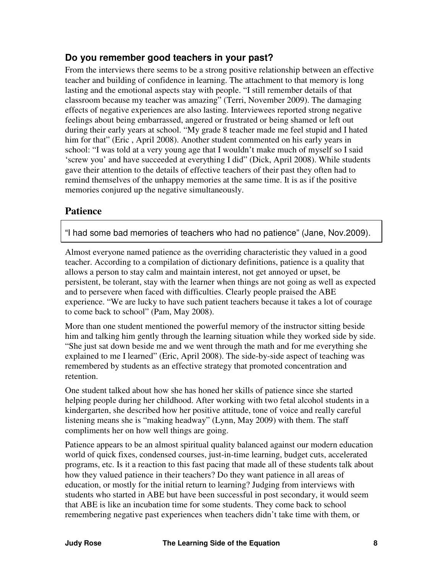### <span id="page-10-0"></span>**Do you remember good teachers in your past?**

From the interviews there seems to be a strong positive relationship between an effective teacher and building of confidence in learning. The attachment to that memory is long lasting and the emotional aspects stay with people. "I still remember details of that classroom because my teacher was amazing" (Terri, November 2009). The damaging effects of negative experiences are also lasting. Interviewees reported strong negative feelings about being embarrassed, angered or frustrated or being shamed or left out during their early years at school. "My grade 8 teacher made me feel stupid and I hated him for that" (Eric , April 2008). Another student commented on his early years in school: "I was told at a very young age that I wouldn't make much of myself so I said 'screw you' and have succeeded at everything I did" (Dick, April 2008). While students gave their attention to the details of effective teachers of their past they often had to remind themselves of the unhappy memories at the same time. It is as if the positive memories conjured up the negative simultaneously.

### **Patience**

"I had some bad memories of teachers who had no patience" (Jane, Nov.2009).

Almost everyone named patience as the overriding characteristic they valued in a good teacher. According to a compilation of dictionary definitions, patience is a quality that allows a person to stay calm and maintain interest, not get annoyed or upset, be persistent, be tolerant, stay with the learner when things are not going as well as expected and to persevere when faced with difficulties. Clearly people praised the ABE experience. "We are lucky to have such patient teachers because it takes a lot of courage to come back to school" (Pam, May 2008).

More than one student mentioned the powerful memory of the instructor sitting beside him and talking him gently through the learning situation while they worked side by side. "She just sat down beside me and we went through the math and for me everything she explained to me I learned" (Eric, April 2008). The side-by-side aspect of teaching was remembered by students as an effective strategy that promoted concentration and retention.

One student talked about how she has honed her skills of patience since she started helping people during her childhood. After working with two fetal alcohol students in a kindergarten, she described how her positive attitude, tone of voice and really careful listening means she is "making headway" (Lynn, May 2009) with them. The staff compliments her on how well things are going.

Patience appears to be an almost spiritual quality balanced against our modern education world of quick fixes, condensed courses, just-in-time learning, budget cuts, accelerated programs, etc. Is it a reaction to this fast pacing that made all of these students talk about how they valued patience in their teachers? Do they want patience in all areas of education, or mostly for the initial return to learning? Judging from interviews with students who started in ABE but have been successful in post secondary, it would seem that ABE is like an incubation time for some students. They come back to school remembering negative past experiences when teachers didn't take time with them, or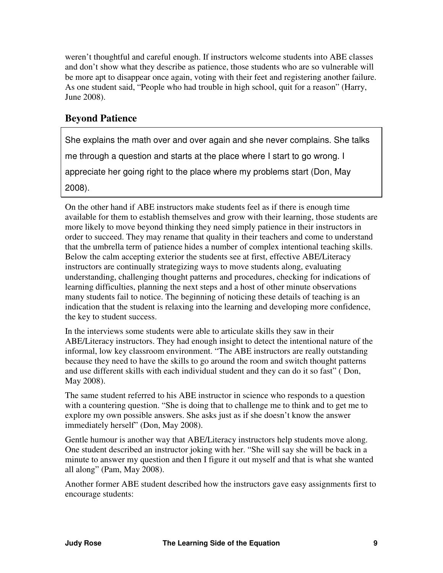<span id="page-11-0"></span>weren't thoughtful and careful enough. If instructors welcome students into ABE classes and don't show what they describe as patience, those students who are so vulnerable will be more apt to disappear once again, voting with their feet and registering another failure. As one student said, "People who had trouble in high school, quit for a reason" (Harry, June 2008).

### **Beyond Patience**

She explains the math over and over again and she never complains. She talks

me through a question and starts at the place where I start to go wrong. I

appreciate her going right to the place where my problems start (Don, May

2008).

On the other hand if ABE instructors make students feel as if there is enough time available for them to establish themselves and grow with their learning, those students are more likely to move beyond thinking they need simply patience in their instructors in order to succeed. They may rename that quality in their teachers and come to understand that the umbrella term of patience hides a number of complex intentional teaching skills. Below the calm accepting exterior the students see at first, effective ABE/Literacy instructors are continually strategizing ways to move students along, evaluating understanding, challenging thought patterns and procedures, checking for indications of learning difficulties, planning the next steps and a host of other minute observations many students fail to notice. The beginning of noticing these details of teaching is an indication that the student is relaxing into the learning and developing more confidence, the key to student success.

In the interviews some students were able to articulate skills they saw in their ABE/Literacy instructors. They had enough insight to detect the intentional nature of the informal, low key classroom environment. "The ABE instructors are really outstanding because they need to have the skills to go around the room and switch thought patterns and use different skills with each individual student and they can do it so fast" ( Don, May 2008).

The same student referred to his ABE instructor in science who responds to a question with a countering question. "She is doing that to challenge me to think and to get me to explore my own possible answers. She asks just as if she doesn't know the answer immediately herself" (Don, May 2008).

Gentle humour is another way that ABE/Literacy instructors help students move along. One student described an instructor joking with her. "She will say she will be back in a minute to answer my question and then I figure it out myself and that is what she wanted all along" (Pam, May 2008).

Another former ABE student described how the instructors gave easy assignments first to encourage students: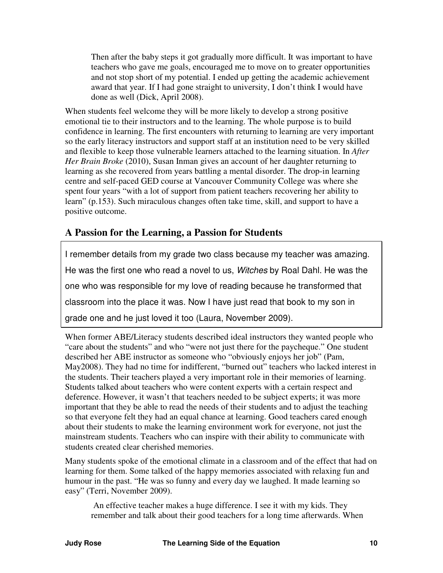<span id="page-12-0"></span>Then after the baby steps it got gradually more difficult. It was important to have teachers who gave me goals, encouraged me to move on to greater opportunities and not stop short of my potential. I ended up getting the academic achievement award that year. If I had gone straight to university, I don't think I would have done as well (Dick, April 2008).

When students feel welcome they will be more likely to develop a strong positive emotional tie to their instructors and to the learning. The whole purpose is to build confidence in learning. The first encounters with returning to learning are very important so the early literacy instructors and support staff at an institution need to be very skilled and flexible to keep those vulnerable learners attached to the learning situation. In *After Her Brain Broke* (2010), Susan Inman gives an account of her daughter returning to learning as she recovered from years battling a mental disorder. The drop-in learning centre and self-paced GED course at Vancouver Community College was where she spent four years "with a lot of support from patient teachers recovering her ability to learn" (p.153). Such miraculous changes often take time, skill, and support to have a positive outcome.

### **A Passion for the Learning, a Passion for Students**

I remember details from my grade two class because my teacher was amazing. He was the first one who read a novel to us, Witches by Roal Dahl. He was the one who was responsible for my love of reading because he transformed that classroom into the place it was. Now I have just read that book to my son in grade one and he just loved it too (Laura, November 2009).

When former ABE/Literacy students described ideal instructors they wanted people who "care about the students" and who "were not just there for the paycheque." One student described her ABE instructor as someone who "obviously enjoys her job" (Pam, May2008). They had no time for indifferent, "burned out" teachers who lacked interest in the students. Their teachers played a very important role in their memories of learning. Students talked about teachers who were content experts with a certain respect and deference. However, it wasn't that teachers needed to be subject experts; it was more important that they be able to read the needs of their students and to adjust the teaching so that everyone felt they had an equal chance at learning. Good teachers cared enough about their students to make the learning environment work for everyone, not just the mainstream students. Teachers who can inspire with their ability to communicate with students created clear cherished memories.

Many students spoke of the emotional climate in a classroom and of the effect that had on learning for them. Some talked of the happy memories associated with relaxing fun and humour in the past. "He was so funny and every day we laughed. It made learning so easy" (Terri, November 2009).

 An effective teacher makes a huge difference. I see it with my kids. They remember and talk about their good teachers for a long time afterwards. When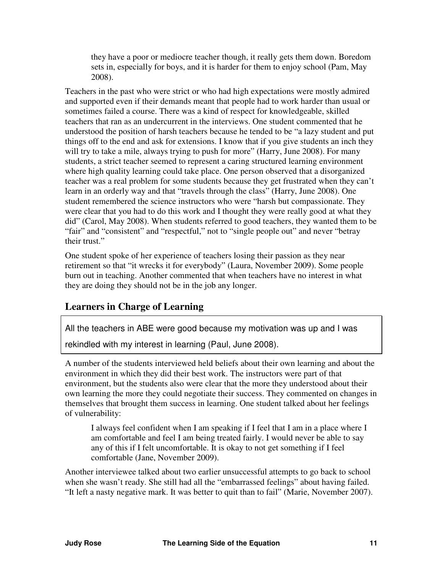<span id="page-13-0"></span>they have a poor or mediocre teacher though, it really gets them down. Boredom sets in, especially for boys, and it is harder for them to enjoy school (Pam, May 2008).

Teachers in the past who were strict or who had high expectations were mostly admired and supported even if their demands meant that people had to work harder than usual or sometimes failed a course. There was a kind of respect for knowledgeable, skilled teachers that ran as an undercurrent in the interviews. One student commented that he understood the position of harsh teachers because he tended to be "a lazy student and put things off to the end and ask for extensions. I know that if you give students an inch they will try to take a mile, always trying to push for more" (Harry, June 2008). For many students, a strict teacher seemed to represent a caring structured learning environment where high quality learning could take place. One person observed that a disorganized teacher was a real problem for some students because they get frustrated when they can't learn in an orderly way and that "travels through the class" (Harry, June 2008). One student remembered the science instructors who were "harsh but compassionate. They were clear that you had to do this work and I thought they were really good at what they did" (Carol, May 2008). When students referred to good teachers, they wanted them to be "fair" and "consistent" and "respectful," not to "single people out" and never "betray their trust."

One student spoke of her experience of teachers losing their passion as they near retirement so that "it wrecks it for everybody" (Laura, November 2009). Some people burn out in teaching. Another commented that when teachers have no interest in what they are doing they should not be in the job any longer.

### **Learners in Charge of Learning**

All the teachers in ABE were good because my motivation was up and I was

rekindled with my interest in learning (Paul, June 2008).

A number of the students interviewed held beliefs about their own learning and about the environment in which they did their best work. The instructors were part of that environment, but the students also were clear that the more they understood about their own learning the more they could negotiate their success. They commented on changes in themselves that brought them success in learning. One student talked about her feelings of vulnerability:

I always feel confident when I am speaking if I feel that I am in a place where I am comfortable and feel I am being treated fairly. I would never be able to say any of this if I felt uncomfortable. It is okay to not get something if I feel comfortable (Jane, November 2009).

Another interviewee talked about two earlier unsuccessful attempts to go back to school when she wasn't ready. She still had all the "embarrassed feelings" about having failed. "It left a nasty negative mark. It was better to quit than to fail" (Marie, November 2007).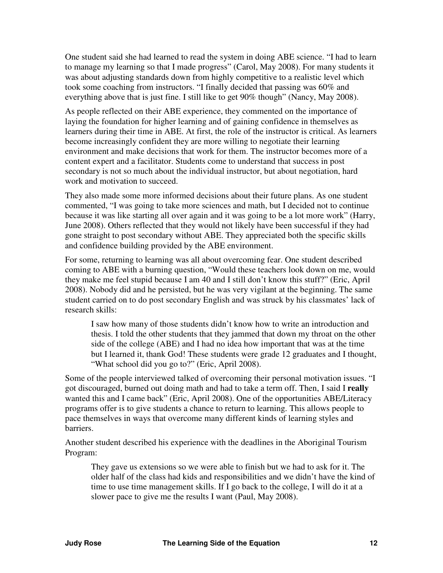One student said she had learned to read the system in doing ABE science. "I had to learn to manage my learning so that I made progress" (Carol, May 2008). For many students it was about adjusting standards down from highly competitive to a realistic level which took some coaching from instructors. "I finally decided that passing was 60% and everything above that is just fine. I still like to get 90% though" (Nancy, May 2008).

As people reflected on their ABE experience, they commented on the importance of laying the foundation for higher learning and of gaining confidence in themselves as learners during their time in ABE. At first, the role of the instructor is critical. As learners become increasingly confident they are more willing to negotiate their learning environment and make decisions that work for them. The instructor becomes more of a content expert and a facilitator. Students come to understand that success in post secondary is not so much about the individual instructor, but about negotiation, hard work and motivation to succeed.

They also made some more informed decisions about their future plans. As one student commented, "I was going to take more sciences and math, but I decided not to continue because it was like starting all over again and it was going to be a lot more work" (Harry, June 2008). Others reflected that they would not likely have been successful if they had gone straight to post secondary without ABE. They appreciated both the specific skills and confidence building provided by the ABE environment.

For some, returning to learning was all about overcoming fear. One student described coming to ABE with a burning question, "Would these teachers look down on me, would they make me feel stupid because I am 40 and I still don't know this stuff?" (Eric, April 2008). Nobody did and he persisted, but he was very vigilant at the beginning. The same student carried on to do post secondary English and was struck by his classmates' lack of research skills:

I saw how many of those students didn't know how to write an introduction and thesis. I told the other students that they jammed that down my throat on the other side of the college (ABE) and I had no idea how important that was at the time but I learned it, thank God! These students were grade 12 graduates and I thought, "What school did you go to?" (Eric, April 2008).

Some of the people interviewed talked of overcoming their personal motivation issues. "I got discouraged, burned out doing math and had to take a term off. Then, I said I **really**  wanted this and I came back" (Eric, April 2008). One of the opportunities ABE/Literacy programs offer is to give students a chance to return to learning. This allows people to pace themselves in ways that overcome many different kinds of learning styles and barriers.

Another student described his experience with the deadlines in the Aboriginal Tourism Program:

They gave us extensions so we were able to finish but we had to ask for it. The older half of the class had kids and responsibilities and we didn't have the kind of time to use time management skills. If I go back to the college, I will do it at a slower pace to give me the results I want (Paul, May 2008).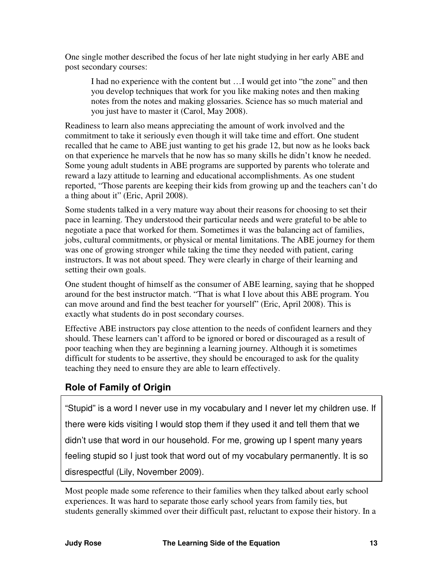<span id="page-15-0"></span>One single mother described the focus of her late night studying in her early ABE and post secondary courses:

I had no experience with the content but …I would get into "the zone" and then you develop techniques that work for you like making notes and then making notes from the notes and making glossaries. Science has so much material and you just have to master it (Carol, May 2008).

Readiness to learn also means appreciating the amount of work involved and the commitment to take it seriously even though it will take time and effort. One student recalled that he came to ABE just wanting to get his grade 12, but now as he looks back on that experience he marvels that he now has so many skills he didn't know he needed. Some young adult students in ABE programs are supported by parents who tolerate and reward a lazy attitude to learning and educational accomplishments. As one student reported, "Those parents are keeping their kids from growing up and the teachers can't do a thing about it" (Eric, April 2008).

Some students talked in a very mature way about their reasons for choosing to set their pace in learning. They understood their particular needs and were grateful to be able to negotiate a pace that worked for them. Sometimes it was the balancing act of families, jobs, cultural commitments, or physical or mental limitations. The ABE journey for them was one of growing stronger while taking the time they needed with patient, caring instructors. It was not about speed. They were clearly in charge of their learning and setting their own goals.

One student thought of himself as the consumer of ABE learning, saying that he shopped around for the best instructor match. "That is what I love about this ABE program. You can move around and find the best teacher for yourself" (Eric, April 2008). This is exactly what students do in post secondary courses.

Effective ABE instructors pay close attention to the needs of confident learners and they should. These learners can't afford to be ignored or bored or discouraged as a result of poor teaching when they are beginning a learning journey. Although it is sometimes difficult for students to be assertive, they should be encouraged to ask for the quality teaching they need to ensure they are able to learn effectively.

# **Role of Family of Origin**

"Stupid" is a word I never use in my vocabulary and I never let my children use. If there were kids visiting I would stop them if they used it and tell them that we didn't use that word in our household. For me, growing up I spent many years feeling stupid so I just took that word out of my vocabulary permanently. It is so disrespectful (Lily, November 2009).

Most people made some reference to their families when they talked about early school experiences. It was hard to separate those early school years from family ties, but students generally skimmed over their difficult past, reluctant to expose their history. In a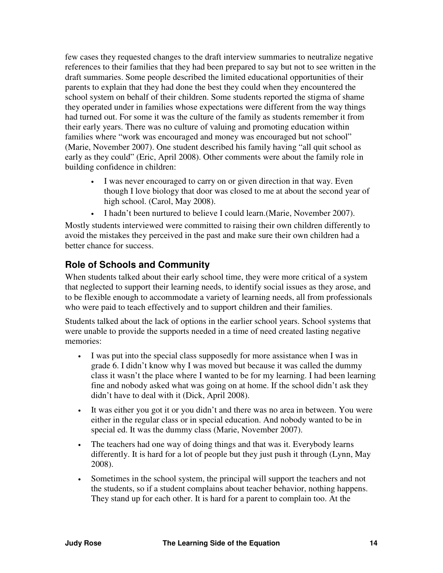<span id="page-16-0"></span>few cases they requested changes to the draft interview summaries to neutralize negative references to their families that they had been prepared to say but not to see written in the draft summaries. Some people described the limited educational opportunities of their parents to explain that they had done the best they could when they encountered the school system on behalf of their children. Some students reported the stigma of shame they operated under in families whose expectations were different from the way things had turned out. For some it was the culture of the family as students remember it from their early years. There was no culture of valuing and promoting education within families where "work was encouraged and money was encouraged but not school" (Marie, November 2007). One student described his family having "all quit school as early as they could" (Eric, April 2008). Other comments were about the family role in building confidence in children:

- I was never encouraged to carry on or given direction in that way. Even though I love biology that door was closed to me at about the second year of high school. (Carol, May 2008).
- I hadn't been nurtured to believe I could learn.(Marie, November 2007).

Mostly students interviewed were committed to raising their own children differently to avoid the mistakes they perceived in the past and make sure their own children had a better chance for success.

### **Role of Schools and Community**

When students talked about their early school time, they were more critical of a system that neglected to support their learning needs, to identify social issues as they arose, and to be flexible enough to accommodate a variety of learning needs, all from professionals who were paid to teach effectively and to support children and their families.

Students talked about the lack of options in the earlier school years. School systems that were unable to provide the supports needed in a time of need created lasting negative memories:

- I was put into the special class supposedly for more assistance when I was in grade 6. I didn't know why I was moved but because it was called the dummy class it wasn't the place where I wanted to be for my learning. I had been learning fine and nobody asked what was going on at home. If the school didn't ask they didn't have to deal with it (Dick, April 2008).
- It was either you got it or you didn't and there was no area in between. You were either in the regular class or in special education. And nobody wanted to be in special ed. It was the dummy class (Marie, November 2007).
- The teachers had one way of doing things and that was it. Everybody learns differently. It is hard for a lot of people but they just push it through (Lynn, May 2008).
- Sometimes in the school system, the principal will support the teachers and not the students, so if a student complains about teacher behavior, nothing happens. They stand up for each other. It is hard for a parent to complain too. At the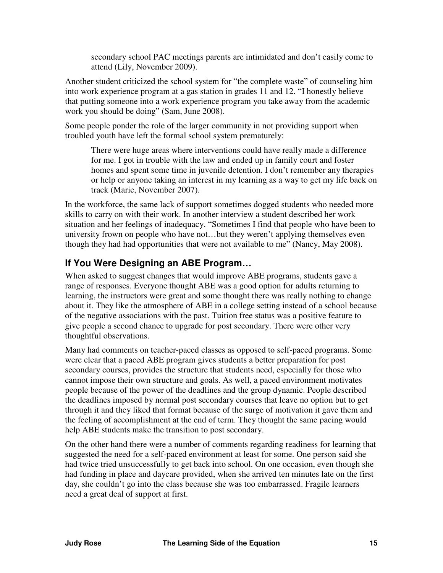secondary school PAC meetings parents are intimidated and don't easily come to attend (Lily, November 2009).

<span id="page-17-0"></span>Another student criticized the school system for "the complete waste" of counseling him into work experience program at a gas station in grades 11 and 12. "I honestly believe that putting someone into a work experience program you take away from the academic work you should be doing" (Sam, June 2008).

Some people ponder the role of the larger community in not providing support when troubled youth have left the formal school system prematurely:

There were huge areas where interventions could have really made a difference for me. I got in trouble with the law and ended up in family court and foster homes and spent some time in juvenile detention. I don't remember any therapies or help or anyone taking an interest in my learning as a way to get my life back on track (Marie, November 2007).

In the workforce, the same lack of support sometimes dogged students who needed more skills to carry on with their work. In another interview a student described her work situation and her feelings of inadequacy. "Sometimes I find that people who have been to university frown on people who have not…but they weren't applying themselves even though they had had opportunities that were not available to me" (Nancy, May 2008).

### **If You Were Designing an ABE Program…**

When asked to suggest changes that would improve ABE programs, students gave a range of responses. Everyone thought ABE was a good option for adults returning to learning, the instructors were great and some thought there was really nothing to change about it. They like the atmosphere of ABE in a college setting instead of a school because of the negative associations with the past. Tuition free status was a positive feature to give people a second chance to upgrade for post secondary. There were other very thoughtful observations.

Many had comments on teacher-paced classes as opposed to self-paced programs. Some were clear that a paced ABE program gives students a better preparation for post secondary courses, provides the structure that students need, especially for those who cannot impose their own structure and goals. As well, a paced environment motivates people because of the power of the deadlines and the group dynamic. People described the deadlines imposed by normal post secondary courses that leave no option but to get through it and they liked that format because of the surge of motivation it gave them and the feeling of accomplishment at the end of term. They thought the same pacing would help ABE students make the transition to post secondary.

On the other hand there were a number of comments regarding readiness for learning that suggested the need for a self-paced environment at least for some. One person said she had twice tried unsuccessfully to get back into school. On one occasion, even though she had funding in place and daycare provided, when she arrived ten minutes late on the first day, she couldn't go into the class because she was too embarrassed. Fragile learners need a great deal of support at first.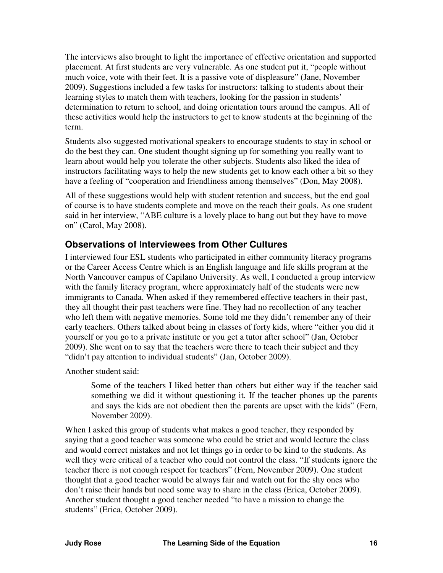<span id="page-18-0"></span>The interviews also brought to light the importance of effective orientation and supported placement. At first students are very vulnerable. As one student put it, "people without much voice, vote with their feet. It is a passive vote of displeasure" (Jane, November 2009). Suggestions included a few tasks for instructors: talking to students about their learning styles to match them with teachers, looking for the passion in students' determination to return to school, and doing orientation tours around the campus. All of these activities would help the instructors to get to know students at the beginning of the term.

Students also suggested motivational speakers to encourage students to stay in school or do the best they can. One student thought signing up for something you really want to learn about would help you tolerate the other subjects. Students also liked the idea of instructors facilitating ways to help the new students get to know each other a bit so they have a feeling of "cooperation and friendliness among themselves" (Don, May 2008).

All of these suggestions would help with student retention and success, but the end goal of course is to have students complete and move on the reach their goals. As one student said in her interview, "ABE culture is a lovely place to hang out but they have to move on" (Carol, May 2008).

#### **Observations of Interviewees from Other Cultures**

I interviewed four ESL students who participated in either community literacy programs or the Career Access Centre which is an English language and life skills program at the North Vancouver campus of Capilano University. As well, I conducted a group interview with the family literacy program, where approximately half of the students were new immigrants to Canada. When asked if they remembered effective teachers in their past, they all thought their past teachers were fine. They had no recollection of any teacher who left them with negative memories. Some told me they didn't remember any of their early teachers. Others talked about being in classes of forty kids, where "either you did it yourself or you go to a private institute or you get a tutor after school" (Jan, October 2009). She went on to say that the teachers were there to teach their subject and they "didn't pay attention to individual students" (Jan, October 2009).

Another student said:

Some of the teachers I liked better than others but either way if the teacher said something we did it without questioning it. If the teacher phones up the parents and says the kids are not obedient then the parents are upset with the kids" (Fern, November 2009).

When I asked this group of students what makes a good teacher, they responded by saying that a good teacher was someone who could be strict and would lecture the class and would correct mistakes and not let things go in order to be kind to the students. As well they were critical of a teacher who could not control the class. "If students ignore the teacher there is not enough respect for teachers" (Fern, November 2009). One student thought that a good teacher would be always fair and watch out for the shy ones who don't raise their hands but need some way to share in the class (Erica, October 2009). Another student thought a good teacher needed "to have a mission to change the students" (Erica, October 2009).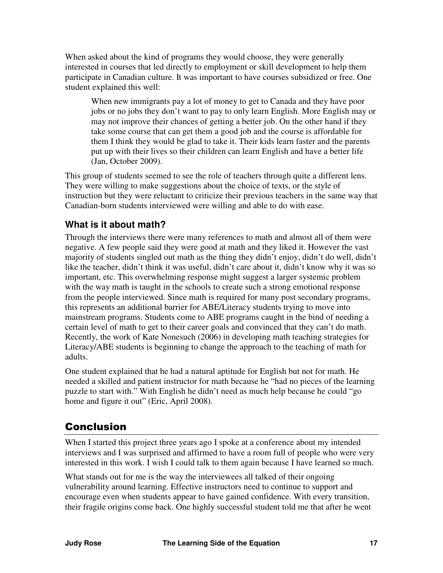<span id="page-19-0"></span>When asked about the kind of programs they would choose, they were generally interested in courses that led directly to employment or skill development to help them participate in Canadian culture. It was important to have courses subsidized or free. One student explained this well:

When new immigrants pay a lot of money to get to Canada and they have poor jobs or no jobs they don't want to pay to only learn English. More English may or may not improve their chances of getting a better job. On the other hand if they take some course that can get them a good job and the course is affordable for them I think they would be glad to take it. Their kids learn faster and the parents put up with their lives so their children can learn English and have a better life (Jan, October 2009).

This group of students seemed to see the role of teachers through quite a different lens. They were willing to make suggestions about the choice of texts, or the style of instruction but they were reluctant to criticize their previous teachers in the same way that Canadian-born students interviewed were willing and able to do with ease.

### **What is it about math?**

Through the interviews there were many references to math and almost all of them were negative. A few people said they were good at math and they liked it. However the vast majority of students singled out math as the thing they didn't enjoy, didn't do well, didn't like the teacher, didn't think it was useful, didn't care about it, didn't know why it was so important, etc. This overwhelming response might suggest a larger systemic problem with the way math is taught in the schools to create such a strong emotional response from the people interviewed. Since math is required for many post secondary programs, this represents an additional barrier for ABE/Literacy students trying to move into mainstream programs. Students come to ABE programs caught in the bind of needing a certain level of math to get to their career goals and convinced that they can't do math. Recently, the work of Kate Nonesuch (2006) in developing math teaching strategies for Literacy/ABE students is beginning to change the approach to the teaching of math for adults.

One student explained that he had a natural aptitude for English but not for math. He needed a skilled and patient instructor for math because he "had no pieces of the learning puzzle to start with." With English he didn't need as much help because he could "go home and figure it out" (Eric, April 2008).

# Conclusion

When I started this project three years ago I spoke at a conference about my intended interviews and I was surprised and affirmed to have a room full of people who were very interested in this work. I wish I could talk to them again because I have learned so much.

What stands out for me is the way the interviewees all talked of their ongoing vulnerability around learning. Effective instructors need to continue to support and encourage even when students appear to have gained confidence. With every transition, their fragile origins come back. One highly successful student told me that after he went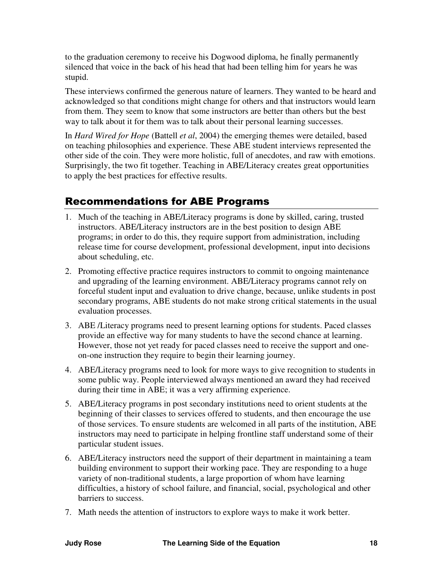<span id="page-20-0"></span>to the graduation ceremony to receive his Dogwood diploma, he finally permanently silenced that voice in the back of his head that had been telling him for years he was stupid.

These interviews confirmed the generous nature of learners. They wanted to be heard and acknowledged so that conditions might change for others and that instructors would learn from them. They seem to know that some instructors are better than others but the best way to talk about it for them was to talk about their personal learning successes.

In *Hard Wired for Hope* (Battell *et al*, 2004) the emerging themes were detailed, based on teaching philosophies and experience. These ABE student interviews represented the other side of the coin. They were more holistic, full of anecdotes, and raw with emotions. Surprisingly, the two fit together. Teaching in ABE/Literacy creates great opportunities to apply the best practices for effective results.

# Recommendations for ABE Programs

- 1. Much of the teaching in ABE/Literacy programs is done by skilled, caring, trusted instructors. ABE/Literacy instructors are in the best position to design ABE programs; in order to do this, they require support from administration, including release time for course development, professional development, input into decisions about scheduling, etc.
- 2. Promoting effective practice requires instructors to commit to ongoing maintenance and upgrading of the learning environment. ABE/Literacy programs cannot rely on forceful student input and evaluation to drive change, because, unlike students in post secondary programs, ABE students do not make strong critical statements in the usual evaluation processes.
- 3. ABE /Literacy programs need to present learning options for students. Paced classes provide an effective way for many students to have the second chance at learning. However, those not yet ready for paced classes need to receive the support and oneon-one instruction they require to begin their learning journey.
- 4. ABE/Literacy programs need to look for more ways to give recognition to students in some public way. People interviewed always mentioned an award they had received during their time in ABE; it was a very affirming experience.
- 5. ABE/Literacy programs in post secondary institutions need to orient students at the beginning of their classes to services offered to students, and then encourage the use of those services. To ensure students are welcomed in all parts of the institution, ABE instructors may need to participate in helping frontline staff understand some of their particular student issues.
- 6. ABE/Literacy instructors need the support of their department in maintaining a team building environment to support their working pace. They are responding to a huge variety of non-traditional students, a large proportion of whom have learning difficulties, a history of school failure, and financial, social, psychological and other barriers to success.
- 7. Math needs the attention of instructors to explore ways to make it work better.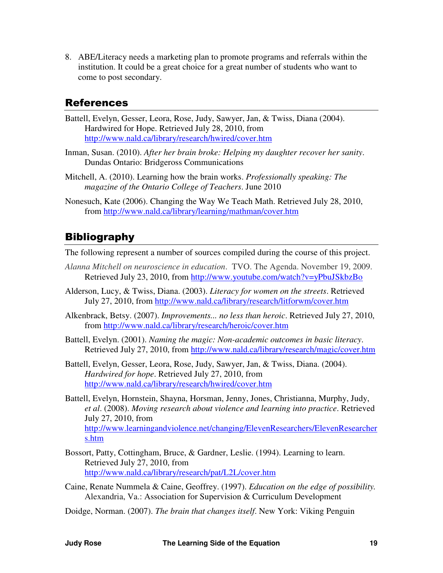<span id="page-21-0"></span>8. ABE/Literacy needs a marketing plan to promote programs and referrals within the institution. It could be a great choice for a great number of students who want to come to post secondary.

### References

- Battell, Evelyn, Gesser, Leora, Rose, Judy, Sawyer, Jan, & Twiss, Diana (2004). Hardwired for Hope. Retrieved July 28, 2010, from http://www.nald.ca/library/research/hwired/cover.htm
- Inman, Susan. (2010). *After her brain broke: Helping my daughter recover her sanity*. Dundas Ontario: Bridgeross Communications
- Mitchell, A. (2010). Learning how the brain works. *Professionally speaking: The magazine of the Ontario College of Teachers*. June 2010
- Nonesuch, Kate (2006). Changing the Way We Teach Math. Retrieved July 28, 2010, from http://www.nald.ca/library/learning/mathman/cover.htm

## **Bibliography**

The following represent a number of sources compiled during the course of this project.

- *Alanna Mitchell on neuroscience in education*. TVO. The Agenda. November 19, 2009. Retrieved July 23, 2010, from http://www.youtube.com/watch?v=yPbuJSkbzBo
- Alderson, Lucy, & Twiss, Diana. (2003). *Literacy for women on the streets*. Retrieved July 27, 2010, from http://www.nald.ca/library/research/litforwm/cover.htm
- Alkenbrack, Betsy. (2007). *Improvements... no less than heroic*. Retrieved July 27, 2010, from http://www.nald.ca/library/research/heroic/cover.htm
- Battell, Evelyn. (2001). *Naming the magic: Non-academic outcomes in basic literacy*. Retrieved July 27, 2010, from http://www.nald.ca/library/research/magic/cover.htm
- Battell, Evelyn, Gesser, Leora, Rose, Judy, Sawyer, Jan, & Twiss, Diana. (2004). *Hardwired for hope*. Retrieved July 27, 2010, from http://www.nald.ca/library/research/hwired/cover.htm
- Battell, Evelyn, Hornstein, Shayna, Horsman, Jenny, Jones, Christianna, Murphy, Judy, *et al*. (2008). *Moving research about violence and learning into practice*. Retrieved July 27, 2010, from [http://www.learningandviolence.net/changing/ElevenResearchers/ElevenResearcher](http://www.learningandviolence.net/changing/ElevenResearchers/ElevenResearchers.htm) s.htm
- Bossort, Patty, Cottingham, Bruce, & Gardner, Leslie. (1994). Learning to learn. Retrieved July 27, 2010, from http://www.nald.ca/library/research/pat/L2L/cover.htm
- Caine, Renate Nummela & Caine, Geoffrey. (1997). *Education on the edge of possibility.*  Alexandria, Va.: Association for Supervision & Curriculum Development
- Doidge, Norman. (2007). *The brain that changes itself*. New York: Viking Penguin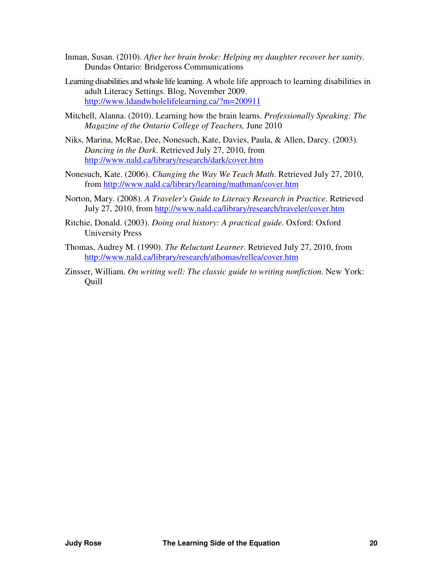- Inman, Susan. (2010). *After her brain broke: Helping my daughter recover her sanity.*  Dundas Ontario: Bridgeross Communications
- Learning disabilities and whole life learning. A whole life approach to learning disabilities in adult Literacy Settings. Blog, November 2009. http://www.ldandwholelifelearning.ca/?m=200911
- Mitchell, Alanna. (2010). Learning how the brain learns. *Professionally Speaking: The Magazine of the Ontario College of Teachers,* June 2010
- Niks, Marina, McRae, Dee, Nonesuch, Kate, Davies, Paula, & Allen, Darcy. (2003). *Dancing in the Dark*. Retrieved July 27, 2010, from http://www.nald.ca/library/research/dark/cover.htm
- Nonesuch, Kate. (2006). *Changing the Way We Teach Math*. Retrieved July 27, 2010, from http://www.nald.ca/library/learning/mathman/cover.htm
- Norton, Mary. (2008). *A Traveler's Guide to Literacy Research in Practice*. Retrieved July 27, 2010, from http://www.nald.ca/library/research/traveler/cover.htm
- Ritchie, Donald. (2003). *Doing oral history: A practical guide*. Oxford: Oxford University Press
- Thomas, Audrey M. (1990). *The Reluctant Learner*. Retrieved July 27, 2010, from http://www.nald.ca/library/research/athomas/rellea/cover.htm
- Zinsser, William. *On writing well: The classic guide to writing nonfiction.* New York: Quill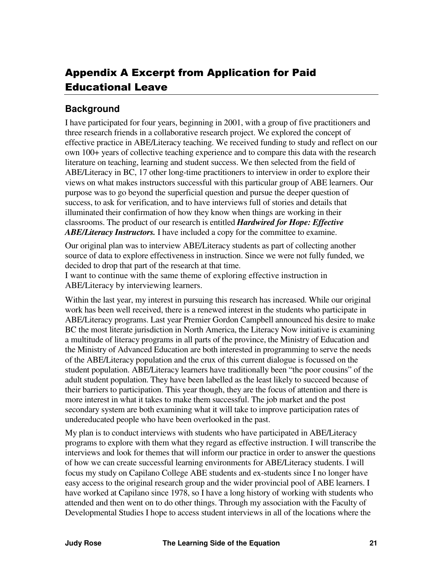# <span id="page-23-0"></span>Appendix A Excerpt from Application for Paid Educational Leave

### **Background**

I have participated for four years, beginning in 2001, with a group of five practitioners and three research friends in a collaborative research project. We explored the concept of effective practice in ABE/Literacy teaching. We received funding to study and reflect on our own 100+ years of collective teaching experience and to compare this data with the research literature on teaching, learning and student success. We then selected from the field of ABE/Literacy in BC, 17 other long-time practitioners to interview in order to explore their views on what makes instructors successful with this particular group of ABE learners. Our purpose was to go beyond the superficial question and pursue the deeper question of success, to ask for verification, and to have interviews full of stories and details that illuminated their confirmation of how they know when things are working in their classrooms. The product of our research is entitled *Hardwired for Hope: Effective ABE/Literacy Instructors.* I have included a copy for the committee to examine.

Our original plan was to interview ABE/Literacy students as part of collecting another source of data to explore effectiveness in instruction. Since we were not fully funded, we decided to drop that part of the research at that time.

I want to continue with the same theme of exploring effective instruction in ABE/Literacy by interviewing learners.

Within the last year, my interest in pursuing this research has increased. While our original work has been well received, there is a renewed interest in the students who participate in ABE/Literacy programs. Last year Premier Gordon Campbell announced his desire to make BC the most literate jurisdiction in North America, the Literacy Now initiative is examining a multitude of literacy programs in all parts of the province, the Ministry of Education and the Ministry of Advanced Education are both interested in programming to serve the needs of the ABE/Literacy population and the crux of this current dialogue is focussed on the student population. ABE/Literacy learners have traditionally been "the poor cousins" of the adult student population. They have been labelled as the least likely to succeed because of their barriers to participation. This year though, they are the focus of attention and there is more interest in what it takes to make them successful. The job market and the post secondary system are both examining what it will take to improve participation rates of undereducated people who have been overlooked in the past.

My plan is to conduct interviews with students who have participated in ABE/Literacy programs to explore with them what they regard as effective instruction. I will transcribe the interviews and look for themes that will inform our practice in order to answer the questions of how we can create successful learning environments for ABE/Literacy students. I will focus my study on Capilano College ABE students and ex-students since I no longer have easy access to the original research group and the wider provincial pool of ABE learners. I have worked at Capilano since 1978, so I have a long history of working with students who attended and then went on to do other things. Through my association with the Faculty of Developmental Studies I hope to access student interviews in all of the locations where the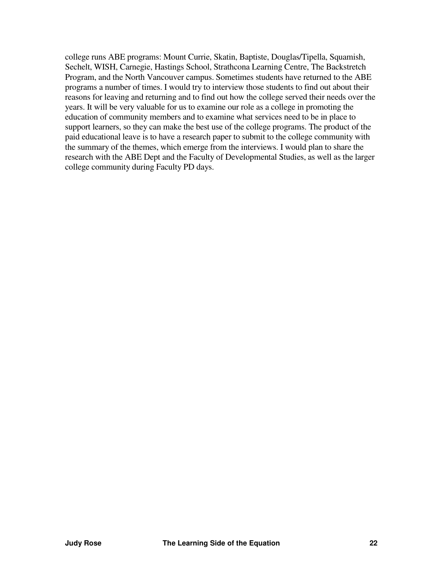college runs ABE programs: Mount Currie, Skatin, Baptiste, Douglas/Tipella, Squamish, Sechelt, WISH, Carnegie, Hastings School, Strathcona Learning Centre, The Backstretch Program, and the North Vancouver campus. Sometimes students have returned to the ABE programs a number of times. I would try to interview those students to find out about their reasons for leaving and returning and to find out how the college served their needs over the years. It will be very valuable for us to examine our role as a college in promoting the education of community members and to examine what services need to be in place to support learners, so they can make the best use of the college programs. The product of the paid educational leave is to have a research paper to submit to the college community with the summary of the themes, which emerge from the interviews. I would plan to share the research with the ABE Dept and the Faculty of Developmental Studies, as well as the larger college community during Faculty PD days.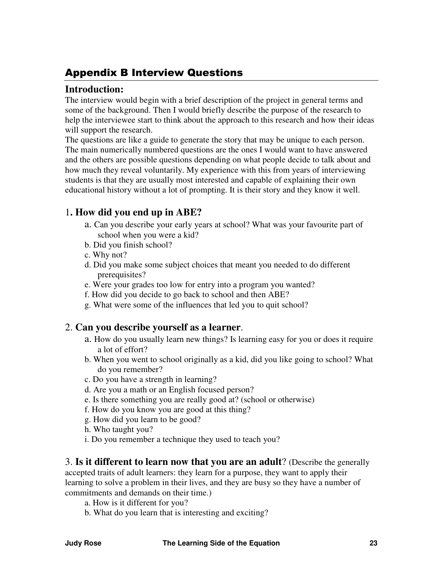# <span id="page-25-0"></span>Appendix B Interview Questions

#### **Introduction:**

The interview would begin with a brief description of the project in general terms and some of the background. Then I would briefly describe the purpose of the research to help the interviewee start to think about the approach to this research and how their ideas will support the research.

The questions are like a guide to generate the story that may be unique to each person. The main numerically numbered questions are the ones I would want to have answered and the others are possible questions depending on what people decide to talk about and how much they reveal voluntarily. My experience with this from years of interviewing students is that they are usually most interested and capable of explaining their own educational history without a lot of prompting. It is their story and they know it well.

### 1**. How did you end up in ABE?**

- a. Can you describe your early years at school? What was your favourite part of school when you were a kid?
- b. Did you finish school?
- c. Why not?
- d. Did you make some subject choices that meant you needed to do different prerequisites?
- e. Were your grades too low for entry into a program you wanted?
- f. How did you decide to go back to school and then ABE?
- g. What were some of the influences that led you to quit school?

### 2. **Can you describe yourself as a learner**.

- a. How do you usually learn new things? Is learning easy for you or does it require a lot of effort?
- b. When you went to school originally as a kid, did you like going to school? What do you remember?
- c. Do you have a strength in learning?
- d. Are you a math or an English focused person?
- e. Is there something you are really good at? (school or otherwise)
- f. How do you know you are good at this thing?
- g. How did you learn to be good?
- h. Who taught you?
- i. Do you remember a technique they used to teach you?

3. **Is it different to learn now that you are an adult**? (Describe the generally accepted traits of adult learners: they learn for a purpose, they want to apply their learning to solve a problem in their lives, and they are busy so they have a number of commitments and demands on their time.)

- a. How is it different for you?
- b. What do you learn that is interesting and exciting?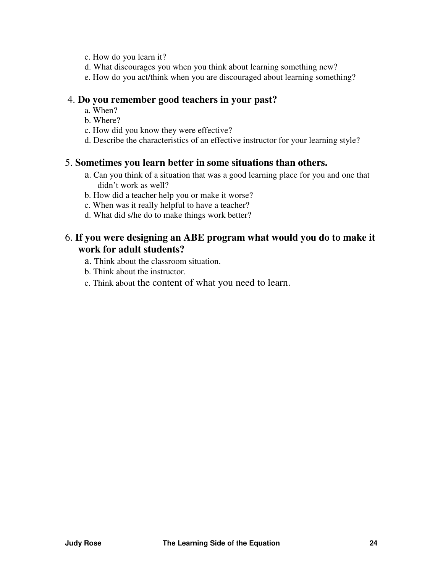- c. How do you learn it?
- d. What discourages you when you think about learning something new?
- e. How do you act/think when you are discouraged about learning something?

#### 4. **Do you remember good teachers in your past?**

- a. When?
- b. Where?
- c. How did you know they were effective?
- d. Describe the characteristics of an effective instructor for your learning style?

#### 5. **Sometimes you learn better in some situations than others.**

- a. Can you think of a situation that was a good learning place for you and one that didn't work as well?
- b. How did a teacher help you or make it worse?
- c. When was it really helpful to have a teacher?
- d. What did s/he do to make things work better?

### 6. **If you were designing an ABE program what would you do to make it work for adult students?**

- a. Think about the classroom situation.
- b. Think about the instructor.
- c. Think about the content of what you need to learn.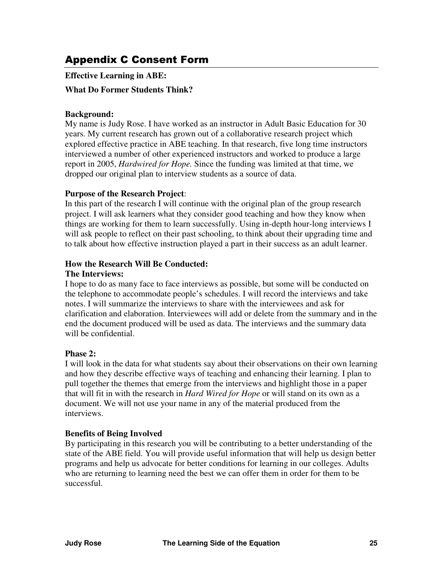# <span id="page-27-0"></span>Appendix C Consent Form

**Effective Learning in ABE:** 

#### **What Do Former Students Think?**

#### **Background:**

My name is Judy Rose. I have worked as an instructor in Adult Basic Education for 30 years. My current research has grown out of a collaborative research project which explored effective practice in ABE teaching. In that research, five long time instructors interviewed a number of other experienced instructors and worked to produce a large report in 2005, *Hardwired for Hope.* Since the funding was limited at that time, we dropped our original plan to interview students as a source of data.

#### **Purpose of the Research Project**:

In this part of the research I will continue with the original plan of the group research project. I will ask learners what they consider good teaching and how they know when things are working for them to learn successfully. Using in-depth hour-long interviews I will ask people to reflect on their past schooling, to think about their upgrading time and to talk about how effective instruction played a part in their success as an adult learner.

#### **How the Research Will Be Conducted:**

#### **The Interviews:**

I hope to do as many face to face interviews as possible, but some will be conducted on the telephone to accommodate people's schedules. I will record the interviews and take notes. I will summarize the interviews to share with the interviewees and ask for clarification and elaboration. Interviewees will add or delete from the summary and in the end the document produced will be used as data. The interviews and the summary data will be confidential.

#### **Phase 2:**

I will look in the data for what students say about their observations on their own learning and how they describe effective ways of teaching and enhancing their learning. I plan to pull together the themes that emerge from the interviews and highlight those in a paper that will fit in with the research in *Hard Wired for Hope* or will stand on its own as a document. We will not use your name in any of the material produced from the interviews.

#### **Benefits of Being Involved**

By participating in this research you will be contributing to a better understanding of the state of the ABE field. You will provide useful information that will help us design better programs and help us advocate for better conditions for learning in our colleges. Adults who are returning to learning need the best we can offer them in order for them to be successful.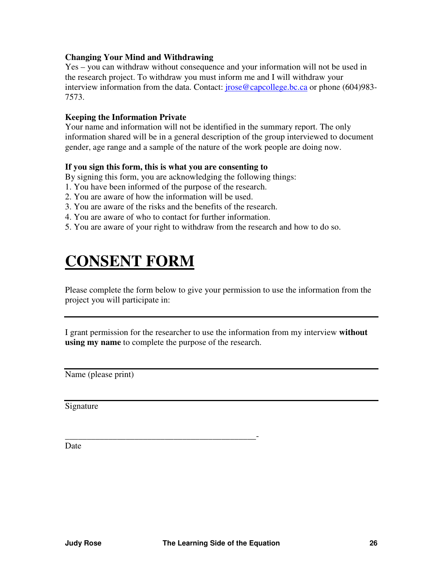#### <span id="page-28-0"></span>**Changing Your Mind and Withdrawing**

Yes – you can withdraw without consequence and your information will not be used in the research project. To withdraw you must inform me and I will withdraw your interview information from the data. Contact: *jrose@capcollege.bc.ca* or phone (604)983-7573.

#### **Keeping the Information Private**

Your name and information will not be identified in the summary report. The only information shared will be in a general description of the group interviewed to document gender, age range and a sample of the nature of the work people are doing now.

#### **If you sign this form, this is what you are consenting to**

By signing this form, you are acknowledging the following things:

- 1. You have been informed of the purpose of the research.
- 2. You are aware of how the information will be used.
- 3. You are aware of the risks and the benefits of the research.
- 4. You are aware of who to contact for further information.

\_\_\_\_\_\_\_\_\_\_\_\_\_\_\_\_\_\_\_\_\_\_\_\_\_\_\_\_\_\_\_\_\_\_\_\_\_\_\_\_\_\_\_\_-

5. You are aware of your right to withdraw from the research and how to do so.

# **CONSENT FORM**

Please complete the form below to give your permission to use the information from the project you will participate in:

I grant permission for the researcher to use the information from my interview **without using my name** to complete the purpose of the research.

Name (please print)

Signature

Date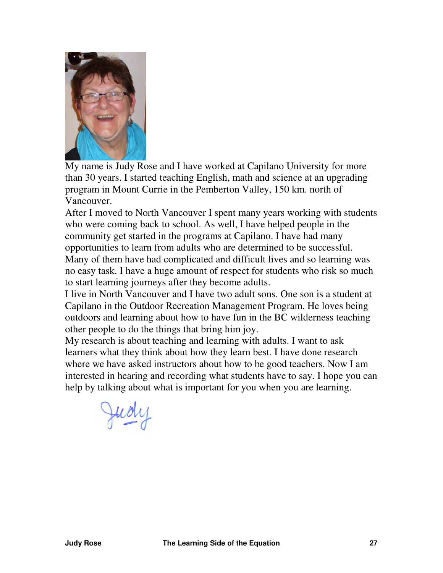

My name is Judy Rose and I have worked at Capilano University for more than 30 years. I started teaching English, math and science at an upgrading program in Mount Currie in the Pemberton Valley, 150 km. north of Vancouver.

After I moved to North Vancouver I spent many years working with students who were coming back to school. As well, I have helped people in the community get started in the programs at Capilano. I have had many opportunities to learn from adults who are determined to be successful. Many of them have had complicated and difficult lives and so learning was no easy task. I have a huge amount of respect for students who risk so much to start learning journeys after they become adults.

I live in North Vancouver and I have two adult sons. One son is a student at Capilano in the Outdoor Recreation Management Program. He loves being outdoors and learning about how to have fun in the BC wilderness teaching other people to do the things that bring him joy.

My research is about teaching and learning with adults. I want to ask learners what they think about how they learn best. I have done research where we have asked instructors about how to be good teachers. Now I am interested in hearing and recording what students have to say. I hope you can help by talking about what is important for you when you are learning.